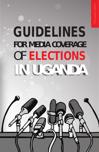# GUIDELINES **FOR MEDIA COVERAGE** OF ELECTIONS **IN UGANDA**

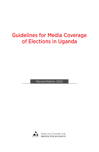# Guidelines for Media Coverage of Elections in Uganda

Revised Edition, 2020

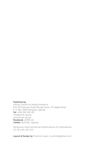#### Published by

African Centre for Media Excellence Plot 130 Kalungu Road (Bunga-Soya), off Ggaba Road P. O. Box 11283 Kampala, Uganda Tel: +256 393 202 351 info@acme-ug.org www.acme-ug.org Facebook: ACME.UG Twitter: @ACME\_Uganda

Attribution-NonCommercial-NoDerivatives 4.0 International (CC BY\_NC\_ND 4.0)

Layout & Design by: Murshid Lutalo, murshid.lg@gmail.com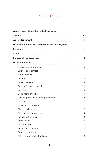# **Contents**

| <b>About African Centre for Media Excellence</b>     | v              |
|------------------------------------------------------|----------------|
| Summary                                              | vii            |
| Acknowledgement                                      | ix             |
| Guidelines for Media Coverage of Elections in Uganda | X              |
| Preamble                                             | хi             |
| Scope                                                | 1              |
| <b>Purpose of the Guidelines</b>                     | $\overline{2}$ |
| <b>General Guidelines</b>                            | 3              |
| Provision of information                             | 3              |
| <b>Balance and fairness</b>                          | 3              |
| Independence                                         | 4              |
| Accuracy                                             | 4              |
| News coverage                                        | 4              |
| Release form from guests                             | 5              |
| Sourcing                                             | 5              |
| Corrections and replies                              | 5              |
| Opinion polls and election projections               | 6              |
| Vox pop                                              | 7              |
| Equity and consistency                               | 7              |
| Electoral violence                                   | 7              |
| Direct access programmes                             | 8              |
| Political advertising                                | 8              |
| Right to edit                                        | 8              |
| Discrimination                                       | 8              |
| Bribery and corruption                               | 9              |
| Conflict of interest                                 | 9              |
| Full coverage of electoral process                   | 9              |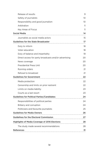| Release of results                                    | 9               |
|-------------------------------------------------------|-----------------|
| Safety of journalists                                 | 10 <sup>2</sup> |
| Responsibility and good journalism                    | 10              |
| Arbitration                                           | 11              |
| <b>Key Areas of Focus</b>                             | 11              |
| <b>Social Media</b>                                   | 14              |
| Journalists as social media actors                    | 15              |
| <b>Guidelines for the State Broadcaster</b>           | 17              |
| Duty to inform                                        | 18              |
| Voter education                                       | 18              |
| Duty of balance and impartiality                      | 19              |
| Direct access for party broadcasts and/or advertising | 20              |
| News coverage                                         | 20              |
| <b>Presidential Press Unit</b>                        | 20              |
| Running orders                                        | 21              |
| Refusal to broadcast                                  | 21              |
| <b>Guidelines for Government</b>                      | 22              |
| Media protection                                      | 22              |
| Censorship and limits on prior restraint              | 22              |
| Limits on media liability                             | 23              |
| Courts as a last resort                               | 23              |
| <b>Guidelines for Political Parties/Candidates</b>    | 24              |
| Responsibilities of political parties                 | 24              |
| Bribery and corruption                                | 24              |
| Politicians and favourite journalists                 | 25              |
| <b>Guidelines for Media Owners</b>                    | 26              |
| <b>Guidelines for the Electoral Commission</b>        | 27              |
| <b>Highlights of Media Coverage of 2016 Elections</b> | 28              |
| The study made several recommendations                | 28              |
| <b>References</b>                                     | 31              |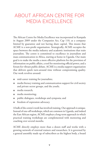# ABOUT AFRICAN CENTRE FOR MEDIA EXCELLENCE

The African Centre for Media Excellence was incorporated in Kampala in August 2009 under the Companies Act, Cap 110, as a company limited by guarantee and not having share capital. This means that ACME is a non-profit organisation. Strategically, ACME occupies the space between the media industry and academic institutions that train journalists. The centre is committed to excellence in journalism and mass communication in Africa, starting at home in Uganda. Our main goal is to make the media a more effective platform for the provision of information on public affairs, a tool for monitoring official power, and a forum for vibrant public debate. ACME is a media support organisation that delivers quick turn-around time without compromising quality. Our work revolves around:

- mid-career training for journalists;
- media literacy training and communication support for civil society and private sector groups, and the youth;
- media research;
- media monitoring;
- public dialogues, workshops and symposia; and
- freedom of expression advocacy.

A bulk of the centre's work has involved training. Our approach is unique. Instead of one-off workshops, which are common in Uganda, and indeed the East African region, ACME employs a long-term approach in which practical training workshops are complemented with mentoring and coaching over several months.

ACME directly employs more than a dozen staff and works with a growing network of external trainers and researchers. It is governed by a general assembly made up of subscribers as the highest body, a board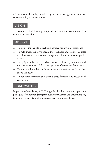of directors as the policy-making organ, and a management team that carries out day-to-day activities.

#### VISION

To become Africa's leading independent media and communication support organisation.

#### MISSION

- To inspire journalists to seek and achieve professional excellence.
- To help make our news media more reliable and credible sources of information, effective watchdogs and vibrant forums for public debate.
- To equip members of the private sector, civil society, academia and the government with skills to engage more effectively with the media.
- To educate the public on how to better appreciate the forces that shape the news.
- To advocate, promote and defend press freedom and freedom of expression.

#### CORE VALUES

In pursuit of excellence, ACME is guided by the values and operating principles of honesty and integrity, quality, persistence and determination, timeliness, creativity and innovativeness, and independence.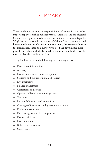# SUMMARY

These guidelines lay out the responsibilities of journalists and other important players such as political parties, candidates, and the Electoral Commission regarding media coverage of national elections in Uganda. Why? Because, to paraphrase Reporters Without Borders, rumours, viral hoaxes, deliberate disinformation and conspiracy theories contribute to the information chaos and therefore we need the news media more to provide the public with the latest reliable information. In this case the most reliable electoral information.

The guidelines focus on the following areas, among others:

- Provision of information
- Accuracy
- Distinction between news and opinion
- Sourcing and the use of unnamed sources
- Live interviews
- Balance and fairness
- Corrections and replies
- Opinion polls and election projections
- Vox pops
- Responsibility and good journalism
- Coverage of incumbent and government activities
- Equity and consistency
- Full coverage of the electoral process
- Electoral violence
- Discrimination
- Bribery and corruption
- Social media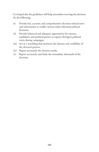It is hoped that the guidelines will help journalists covering the elections do the following:

- (i) Provide fair, accurate and comprehensive elections-related news and information to enable citizens make informed political decisions.
- (ii) Provide balanced and adequate opportunity for citizens, candidates and political parties to express divergent political views during campaigns.
- (iii) Act as a watchdog that monitors the fairness and credibility of the electoral process.
- (iv) Report accurately the election results.
- (v) Report accurately and fairly the immediate aftermath of the elections.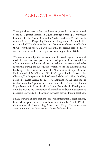# ACKNOWLEDGEMENT

These guidelines, now in their third iteration, were first developed ahead of the 2011 general elections in Uganda through a participatory process facilitated by the African Centre for Media Excellence (ACME) with support from the Deepening Democracy Programme. We would like to thank the DDP, which evolved into Democratic Governance Facility (DGF), for the support. We are pleased that the second edition (2015) and the present one have been printed with support from DGF.

We also acknowledge the contribution of several organisations and media houses that participated in the development of the first edition of the guidelines and endorsed them as well and have continued to be supportive during the subsequent revisions to fit the evolving media landscape. The entities include The New Vision Group, Monitor Publications Ltd, NTV Uganda, WBS TV, Uganda Radio Network, The Observer, The Independent, Radio One and Akaboozi ku Bbiri, Luo FM, Mega FM, Radio Paidha, the Electoral Commission, the Independent Media Council of Uganda, the Uganda Journalists Union, the Human Rights Network for Journalists-Uganda, the Uganda Media Development Foundation, and the Department of Journalism and Communication at Makerere University. Media owners have also provided useful feedback.

Finally, we would like to thank the following international organisations, from whose guidelines we have borrowed liberally: Article 19, the Commonwealth Broadcasting Association, Kenya Correspondents Association, and the International Centre for Journalists.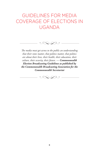# GUIDELINES FOR MEDIA COVERAGE OF ELECTIONS IN UGANDA

*The media must get across to the public an understanding that their votes matter, that politics matter, that politics are about their lives, their health, their education, their culture, their security, their future. — Commonwealth Election Broadcasting Guidelines as published by the Commonwealth Broadcasting Association for the Commonwealth Secretariat*

*�*

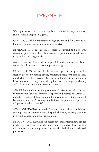# PREAMBLE

We — journalists, media houses, regulators, political parties, candidates, and election managers in Uganda:

CONSCIOUS of the importance of regular, free and fair elections in building and maintaining a democratic society;

REMEMBERING our history of political turmoil and upheaval created in part by lack of regular elections or profound electoral fraud, malpractice, and irregularities;

AWARE that free, independent, responsible and pluralistic media are critical for advancing and sustaining democracy;

RECOGNISING the central role the media play or can play in the election process by, among others, providing people with information on which to base their decisions, facilitating public debate on the choices before the voters, acting as a watchdog for fairness during campaigning and polling, and providing a voice to voters;

AWARE that our Constitution guarantees all citizens the right of access to information, and to "freedom of speech and expression, which … include(s) freedom of the press and other media"; and that international law requires states to "encourage and facilitate the pluralistic expression of opinion via the … media";

ACKNOWLEDGING that media freedoms come with responsibilities, and in particular that media serve the public better by covering elections in a fair, balanced, and impartial manner;

RECOGNISING that while our media have made tremendous strides in the last two decades and that our country is today blessed with a vibrant media scene, many newsrooms are still filled with inexperienced journalists;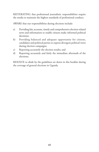REITERATING that professional journalistic responsibilities require the media to maintain the highest standards of professional conduct;

AWARE that our responsibilities during elections include:

- a) Providing fair, accurate, timely and comprehensive election-related news and information to enable citizens make informed political decisions;
- b) Providing balanced and adequate opportunity for citizens, candidates and political parties to express divergent political views during election campaigns;
- c) Reporting accurately the election results; and
- d) Reporting accurately and fairly the immediate aftermath of the elections;

RESOLVE to abide by the guidelines set down in this booklet during the coverage of general elections in Uganda.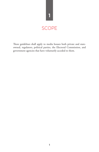

These guidelines shall apply to media houses both private and stateowned, regulators, political parties, the Electoral Commission, and government agencies that have voluntarily acceded to them.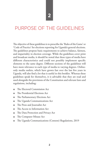## PURPOSE OF THE GUIDELINES

The objective of these guidelines is to prescribe the 'Rules of the Game' or 'Code of Practice' for elections reporting for Uganda's general elections. The guidelines propose basic requirements to achieve balance, fairness, and impartiality in election coverage. While the guidelines cover print and broadcast media, it should be noted that these types of media have different characteristics and could not possibly implement specific elements to the same degree. Different sections of the guidelines will have more relevance to each type of media to varying degrees. Onlineonly media outlets, which have grown fast over the last five years in Uganda, will also find a lot that is useful in this booklet. Whereas these guidelines speak for themselves, it is advisable that they are read and used alongside the provisions of the Constitution and relevant laws and regulations, including:

- The Electoral Commission Act
- The Presidential Elections Act
- The Parliamentary Elections Act
- The Uganda Communications Act
- The Press and Journalist Act
- The Access to Information Act
- The Data Protection and Privacy Act
- The Computer Misuse Act
- The Uganda Communications (Content) Regulations, 2019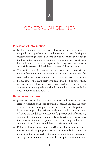# GENERAL GUIDELINES

#### Provision of information

- Media, as autonomous sources of information, inform members of the public on top of educating and entertaining them. During an electoral campaign the media have a duty to inform the public about political parties, candidates, manifestos, and voting processes. Media houses thus need to plan and deploy early enough as many reporters as possible to cover all the different aspects of the campaigns.
- The media houses also need to build databases and datasets with as much information about the current and previous election cycles for ease of reference for background, context, and analysis in the stories.
- Media houses that have their own guidelines need to revise them and follow them. Those that do not have need to develop them. In any event, in-house guidelines should be used in tandem with the ones contained in this booklet.

#### Balance and fairness

- Journalists have a duty to remain balanced and impartial in their election reporting and not to discriminate against any political party or candidate in granting access to the media. The obligation of balance and impartiality derives directly from the fundamental rights of voters and candidates to freedom of expression and information, and non-discrimination. Fair and balanced election coverage means individual stories, and the pattern of stories over a period of time, contain points of view from different parties or candidates.
- Editors will assess each day's news and information output and where normal journalistic judgement creates an unavoidable temporary imbalance; they must rectify it as soon as possible over succeeding coverage. A meticulous system must be set up in the newsroom. A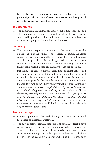large wall-chart, or computer-based system accessible to all relevant personnel, with basic details of every election story broadcast/printed entered after each day would be a good start.

#### Independence

The media will maintain independence from political, economic and other interests. In particular, they will not allow themselves to be controlled by political parties, candidates, the government, business or any other groups with vested political interests.

#### Accuracy

- The media must report accurately across the board but especially on issues such as the spelling of the candidates' names, the actual words they use (quotes/sound bytes), names of places, and context. The election period is a time of heightened excitement for both candidates and voters. Care must be taken in reporting so as not to make people react in a manner that may breach the public peace.
- Reporting the size of crowds attending political rallies and presentation of pictures of the rallies in the media is a critical matter. If rally sizes must be mentioned at all, journalists must rely on estimates provided by credible agencies such as the police or independent monitors. Otherwise, say something like: *Candidate Y attracted a crowd that seemed to fill Kololo Independence Grounds for her final rally. The grounds are the size of three football pitches. Or, the fundraising cocktail party for Candidate X attracted a capacity crowd to the Sheraton Rwenzori Ballroom. The ballroom seats about 300. But when people are standing with little room between them, as was the case last evening, the room takes in 450.* Find a more neutral and believable way to convey audience size.

#### News coverage

- Editorial opinion must be clearly distinguished from news to avoid the danger of misleading audiences.
- The duty of balance requires that parties or candidates receive news coverage commensurate with their importance in the election and the extent of their electoral support. It tends to become pretty obvious as the campaigning goes on and as opinion polls are released which parties are in the lead and which ones are peripheral. Because any of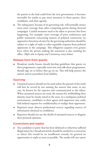the parties in the lead could form the next government, it becomes inevitable for media to pay more attention to those parties, their candidates, and their agenda.

● The ruling party, because of its governing role, will normally attract more news coverage than other competing parties during electoral campaigns. Careful measures need to be taken to prevent this from happening. For example, news coverage of press conferences and public statements concerning matters of political controversy (as opposed to functions of state) by the governing authorities should be subject to a right of reply or other equitable response from political opponents in the campaign. This obligation acquires even greater force when the person making the statement is also standing for office. *(Refer also to Equity and Consistency entry below).*

#### Release form from guests

Broadcast media houses should develop guidelines that guests on their programmes, especially interview and talk-show programmes, should sign on to before they go on air. This will help protect the station and its journalists from liability.

#### Sourcing

- Unnamed sources should not be used unless the pursuit of the truth will best be served by not naming the sources that must, in any case, be known by the reporter and communicated to the editor. When unnamed sources are used, the reasons for withholding their identity must be clearly stated in the story. In a multiparty political environment, candidates or their agents and supporters may easily hide behind requests for confidentiality to malign their opponents.
- Reporters must observe professional secrecy regarding sources of information obtained in confidence.
- Reporters should not use the shield of unnamed sources to disguise their personal opinions.

#### Corrections and replies

Any candidate or party that has been defamed or otherwise suffered illegal injury by a broadcast/article should be entitled to a correction or where this would be an insufficient remedy, be granted an opportunity to reply as soon as possible. The media will not report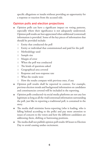specific allegations or insults without providing an opportunity for a response or reaction from the accused side.

#### Opinion polls and election projections

- Opinion polls can have a significant impact on voting patterns, especially where their significance is not adequately understood. Opinion poll results are best appreciated when additional (contextual) information is provided. Some of the key pieces of information that should be provided include:
	- Entity that conducted the poll
	- Entity or individual that commissioned and paid for the poll
	- Methodology used
	- Sample size
	- Margin of error
	- When the poll was conducted
	- The kinds of questions asked
	- Geographical area covered
	- Response and non-response rate
	- What the results were
	- How the results compare with previous ones, if any
- Opinion poll results shall be reported in context. For example, previous election trends and background information on candidates and constituencies covered will be included in the reporting.
- Opinion polls conducted via social media platforms are not any less legitimate as long as all the vital/contextual information surrounding the poll, just like in reporting a traditional poll, is contained in the story.
- The media shall minimise horse-reporting (who is leading, who is falling behind according to the polls) and pay more attention to issues of concern to the voters and how the different candidates are addressing them, shifting or buttressing positions.
- The media shall not publish opinion poll results 48 hours to Election Day to avoid causing undue excitement.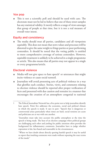#### Vox pop

This is not a scientific poll and should be used with care. The electorate must not be led to believe that one of these street samples has any statistical validity. It merely reflects a range of views amongst that group of people at that time, but it is not a real measure of overall voter intent.

#### Equity and consistency

The media should treat all parties, candidates and all viewpoints equitably. This does not mean that news values and processes will be distorted to give the same weight to fringe parties or poor performing contenders. It should be noted that the voting public is entitled to more comprehensive coverage of serious contenders. However, equitable treatment is unlikely to be achieved in a single programme or article. This also means that all parties may not appear in a single or every programme/article.

#### Electoral violence

- $\bullet$  Media will not give space to hate speech<sup>1</sup> or utterances that might incite violence or cause social turmoil.
- Journalists will avoid presenting acts of political violence in a way that glorifies such conduct. Stories, views, and comments relating to election violence should be reported after proper verification of facts and presented with due caution and restraint in a manner that encourages the creation of an atmosphere congenial to national

<sup>1</sup> The Ethical Journalism Network has a five-point test to help journalists identify hate speech. Point five addresses the economic, social and political climate in which the speech is made. It says in part: "Speech that is dangerous or controversial arises particularly when times are hard, social tensions are acute and politicians are at war with one another.

<sup>&</sup>quot;Journalists must take into account the public atmosphere at the time the speech is being made. The heat of an election campaign when political groups are challenging each other and jostling for public attention often provides the background for inflammatory comments. Journalists have to judge whether expression is fair, fact-based and reasonable in the circumstances.

<sup>&</sup>quot;Where we have doubt about directly quoting hateful speech it may be useful to report that insulting comments were made without repeating the exact terms of the insult."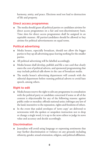harmony, amity, and peace. Elections need not lead to destruction of life and property.

#### Direct access programmes

● The media should grant all political parties or candidates airtime for direct access programmes on a fair and non-discriminatory basis. Time slots for direct access programmes shall be assigned in an equitable manner. All parties/candidates should be allowed to buy airtime for political advertisements on equal terms.

#### Political advertising

- Media houses, especially broadcast, should not allow the bigger parties to buy up all advertising space leaving nothing for the smaller parties.
- All political advertising will be labelled accordingly.
- Media houses shall develop, publish and file a rate card that clearly states the cost of political adverts, and sponsored programming that may include political talk-shows in the case of broadcast media.
- The media house's advertising department will consult with the editorial department before running political adverts to avoid hate speech, among others.

#### Right to edit

- Media houses reserve the right to edit any programme in consultation with the political party or candidate concerned if some or all of the content is objectionable for any of the following reasons: against public order or morality; offends national unity; infringes any law of the land; insensitive to the reputation, rights and freedoms of others.
- In the event that sealed envelopes of 'news copy' are delivered to newsrooms with the spoken or unspoken instruction not to drop or change a single word, it is up to the news editor to judge its news value and accuracy and decide accordingly.

#### Discrimination

● Journalists will avoid using language or expressing sentiments that may further discrimination or violence on any grounds including ethnicity, gender, sexual orientation, religion, and political affiliation.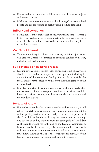- Female and male contestants will be treated equally as news subjects and as news sources.
- Media will not discriminate against disadvantaged or marginalised people and groups seeking to participate in political leadership.

#### Bribery and corruption

Media houses must make clear to their journalists that to accept a bribe — say cash or other favours in return for approving coverage of a politician or political party — is a serious breach of duty likely to result in dismissal.

#### Conflict of interest

To ensure the integrity of election coverage, individual journalists will disclose a conflict of interest or potential conflict of interest, including political affiliation.

#### Full coverage of electoral process

- Election coverage is not limited to the campaign period. The coverage should be extended to encompass all phases up to and including the declaration of the results and the day after. As far as possible, the media shall cover the election results from the polling station to the national level.
- It is also important to comprehensively cover the first weeks after the declaration of results to capture reactions of the winners and the losers and their supporters, plus the views of election monitors and independent experts.

#### Release of results

If a media house decides to release results as they come in, it will rely on reports by its own journalists or independent monitors at the various polling stations or district tally centres. The reporters will clarify at all times that the results they are announcing are from, say, one quarter of polling stations; from the stronghold of Candidate X; the results are not yet confirmed by the Electoral Commission. In other words, the release of partial results should be done with sufficient context so as not to excite or mislead voters. Media houses must know, however, that it is the constitutional mandate of the Electoral Commission to announce the definitive results.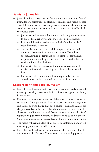#### Safety of journalists

- Journalists have a right to perform their duties without fear of intimidation, harassment or attacks. Journalists and media houses should therefore take necessary steps to minimise the risks and threats associated with tense periods such as electioneering. Specifically, it is expected that:
	- Journalists will receive safety training including risk assessment to enable them report without the risk of being attacked.
	- Efforts will be reinforced to deal with the "double burden" faced by female journalists.
	- The media must, as far as possible, respect legitimate police orders to clear away from a particular scene. The police should, however, be reminded to respect the constitutional responsibility of media practitioners to the general public to work unhindered at all times.
	- Journalists who get exposed to traumatic experiences will receive professional counselling once they are back from the field.
	- Journalists will conduct their duties responsibly with due consideration to their own safety and that of their sources.

#### Responsibility and good journalism

- Journalists will ensure that their reports are not overly oriented toward personality, party, or ethnic positions as opposed to being issue-centred.
- Responsible journalism does not defame or promote malice or corruption. Good journalism does not repeat inaccurate allegations and insults or twist the truth about a person. Journalists can report allegations and offensive speech, but the story must be balanced so the allegation or offense is answered. News reports can ruin politicians' reputations, put party members in danger, or cause public protest. Good journalism does no special favours for any politician or party.
- The media will remain alert, at all times, to exploitation and avoid unwitting promotion for self-seekers.
- Journalists will endeavour to be aware of the election rules, the operations of the Electoral Commission, and the voting process.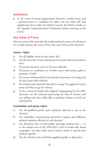#### Arbitration

In the event of strong disagreement between a media house and a political party or candidate for office, the two sides will seek adjudication from either the Media Council, the Editors Guild, or the Uganda Communications Commission before resorting to the courts.

#### Key Areas of Focus

Here are some of the areas that the media need to be aware of, and report on, to help advance the cause of free, fair, and violence-free elections.

#### Voters' rights

- a) Are all eligible voters on the voters' list?
- b) Are all voters free to hear and discuss the parties and issues without fear?
- c) Do parties threaten voters or election officials?
- d) Do parties or candidates try to bribe voters with money, gifts or promises of jobs?
- e) Do voters understand their role and the importance of voting, and do they know their choices?
- f) Do women and minorities feel safe in voting? Are aggrieved voters aware of where to go for redress?
- g) In the context of media-only (digital) campaigning for the 2021 elections, are the telecoms protecting the data of citizens and not selling such data willy-nilly to political entities to send out solicitations?

#### Candidates and party rights

- a) Are all qualified parties and candidates allowed to run in the election?
- b) Are candidates representing minorities, regions and different political opinions allowed to seek election?
- c) Are all parties free to hold public meetings without fear or in the unique case of the 2020/2021 cycle of media-only based campaigns, can they easily access various media to spread their political agenda?
- d) Are the election rules and limits applied equally to all parties?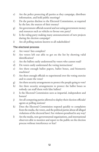- e) Are the police protecting all parties as they campaign, distribute information, and hold public meetings?
- f) Do the parties disclose to the Electoral Commission, as required by the law, the sources of their money?
- g) Are government officials neutral and not using government money and resources such as vehicles to favour one party?
- h) Is the ruling party making many announcements of new projects during the election campaign?
- i) Are all polling stations known to all stakeholders?

#### The electoral process

- a) Are voters' lists complete?
- b) Are voters left out able to get on the list by showing valid identification?
- c) Are the ballots easily understood by voters who cannot read?
- d) Do voters easily understand the voting instructions?
- e) Are there enough ballot papers, ballot boxes, and biometric machines?
- f) Are there enough officials to superintend over the voting exercise and to count the votes?
- g) Are there security arrangements to protect the people going to vote?
- h) Are there security arrangements to protect the ballot boxes so nobody can stuff them with false ballots?
- i) Is the Electoral Commission seen as impartial, independent and honest?
- j) Are all competing parties allowed to deploy their election officials/ agents at polling stations?
- k) Does the Electoral Commission respond quickly to complaints from the media, the voters, and the political parties about all alleged violations of the electoral laws? Are violators penalised in any way?
- l) Are the media, non-governmental organisations, and international observers able to monitor and report to the public on the election process without interference or fear?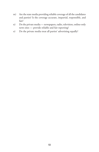- m) Are the state media providing reliable coverage of all the candidates and parties? Is the coverage accurate, impartial, responsible, and fair?
- n) Do the private media newspapers, radio, television, online-only news sites — provide reliable and fair reporting?
- o) Do the private media treat all parties' advertising equally?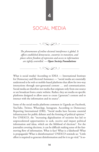# SOCIAL MEDIA

*The phenomenon of online electoral interference is global. It affects established democracies, countries in transition, and places where freedom of expression and access to information are tightly controlled. — Open Society Foundations* 

 $\infty$ <sub>*n*</sub> $\infty$ 

 $\infty$ 

What is social media? According to IDEA — International Institute for Democracy and Electoral Assistance — "social media are essentially understood to be web or mobile-based platforms that allow for two-way interactions through user-generated content … and communication. Social media are therefore not media that originate only from one source or are broadcast from a static website. Rather, they are media on specific platforms designed to allow users to create ('generate') content and to interact with the information and its source".

Some of the social media platforms common in Uganda are Facebook, YouTube, Twitter, WhatsApp, Instagram. According to Democracy Reporting International (DRI), "Social media have become essential infrastructure for public debates and the forming of political opinion." For UNESCO, the "increasing digitalization of societies has led to unprecedented opportunities to seek, receive and impart political information and ideas, which are the lifeblood of elections". For the journalist covering elections, it can be difficult making sense of the fastmoving flow of information. What is fact? What is a falsehood? What is propaganda? What is disinformation? UNESCO reminds us: "Little effort is required to generate disinformation and for it to go viral." Is so-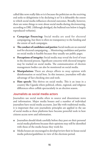called fake news really fake or is it because the politician on the receiving end seeks to delegitimise it by declaring it so? It is debatable the extent to which social media influences electoral outcomes. Broadly, however, there are some things to note about social media during electioneering, according to DRI. (Although abridged, the bulleted text below is largely reproduced verbatim).

- **Campaign financing:** Social media are used for electoral campaigning, but there is often no transparency to the funding and the extent of such campaigns.
- **The conduct of candidates and parties:** Social media are an essential tool for electoral campaigning… Monitoring candidates and parties on social media is feasible because they usually use public pages.
- **Perceptions of integrity:** Social media may reveal the level of trust in the electoral process. Significant concerns with electoral integrity may be tracked on social media. The communication of election management bodies can also be monitored on social media.
- **Manipulation:** There are always efforts to sway opinion with disinformation or social bots. In this instance, journalists will take advantage of fact-checking sites and tools.
- **Hate speech:** This thrives on social media. This is an issue in a country like Uganda where political, ethnic, regional, and religious differences often collide spectacularly in an election season.

#### Journalists as social media actors

Journalists use social media often to source and disseminate news and information. Major media houses and a number of individual journalists have social media accounts. Just like with traditional media, it is important that core journalistic principles are applied in the use of social media as these platforms have become powerful tools in how citizens access news and information.

- Journalists should think carefully before they post on their personal social media platforms because their opinions may still be identified with those of the media house they work for.
- Media houses are encouraged to develop/review their in-house social media policies/guidelines in view of the elections period.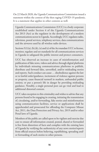On 22 March 2020, the Uganda Communications Commission issued a statement within the context of the then raging COVID-19 pandemic. It is a statement that applies in other contexts as well.

Uganda Communications Commission (UCC) is a body corporate established under Section 4 of the Uganda Communications Act 2013 (Act) as the regulator in the development of a modern communications sector in Uganda. Accordingly, UCC regulates radio, television, postal services, telephony services, data communications and the airwaves used by all wireless radio devices.

Sections 5(1)(a), (b), (k), (x) and (z) of the Act mandate UCC to license, monitor, regulate and set standards for all communications services in Uganda to safeguard the public interest and protect consumers.

UCC has observed an increase in cases of misinformation and publication of fake news, videos and advice through digital platforms by individuals misusing communications platforms to publish, distribute and forward false, unverified, and/or misleading stories and reports. Such conduct can cause … disobedience against the law or to lawful order/guidance, incitement of violence against persons or property, cause financial turmoil in markets, unfounded public anxiety, or put a person's life in danger by providing misleading guidance. Notably, a single personal post can go viral and lead to additional distorted content.

UCC takes exception to this criminality and wishes to advise that any persons found to be engaging in creating, initiating the transmission of, circulating, and/or forwarding, fake stories and misinformation using communication facilities, service or applications shall be apprehended and prosecuted for offending the Computer Misuse Act, 2011, the Data Protection and Privacy Act, 2019 and/or other Penal laws of Uganda.

Members of the public are called upon to be vigilant and exercise due care to ensure all information created, posted, shared or forwarded is free from distortion of facts and complies with the existing laws of Uganda by verifying the authenticity of any news stories/reports from official sources before believing, republishing, spreading and/ or forwarding of such stories to other persons.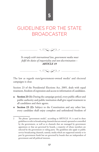# **5**

# GUIDELINES FOR THE STATE BROADCASTER



*To comply with international law, government media must fulfil the duties of impartiality and non-discrimination – ARTICLE 19*

 $\infty$ 

The law as regards state/government-owned media<sup>2</sup> and electoral campaigns is clear.

Section 23 of the Presidential Elections Act, 2005, deals with equal treatment, freedom of expression and access to information of candidates.

- **Section 23 (1):** During the campaign period, every public officer and public authority and public institution shall give equal treatment to all candidates and their agents.
- **Section 23 (2):** Subject to the Constitution and any other law, every candidate shall enjoy complete and unhindered freedom of

<sup>2</sup> The phrase "government media", according to ARTICLE 19, is used in these guidelines to refer to broadcasting channels that are owned, operated or controlled by the government, as well as to channels that are managed by government appointees or that are governed by boards, a majority of whose members are selected by the government or ruling party. The guidelines also apply to public service broadcasting channels, namely, media which are supported entirely or in part by government funds but are governed by boards that are independent of government and all political interests.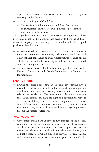expression and access to information in the exercise of the right to campaign under this Act.

- Section 24 on Rights of Candidates
	- **Section 24 (1):** All presidential candidates shall be given equal treatment on the State owned media to present their programme to the people.

The Uganda Communications Commission has augmented these provisions in light of the government's decision to have the 2020/21 election campaigns held entirely via the media and other digital platforms. Says the UCC:

- All state-owned media stations ... shall schedule meetings with nominated presidential candidates, parliamentary candidates and other political contenders or their representatives to agree on the schedule or timetable for campaigns, and how it can be shared equitably among the contenders.
- The state-owned media should submit the agreed schedule to the Electoral Commission and Uganda Communication Commission for monitoring.

#### Duty to inform

● During the period preceding an election, government-owned media have a duty to inform the public about the political parties, candidates, campaign issues, voting processes, and other matters relevant to the election. The government's obligation to ensure that "Every citizen shall have the right and opportunity, without ... distinction [of any kind] ... to vote ... at genuine ... elections" compels it to ensure that voters have the necessary information to register and vote, and to make informed choices regarding matters that are the subject of elections.

#### Voter education

• Government media have an obvious duty throughout the election campaign and up to the close of voting to provide education and information on the electoral process designed to ensure a meaningful election by a well-informed electorate. Indeed, one of public broadcaster UBC's aims is to provide "electronic media and consultancy services that educate and guide the public". The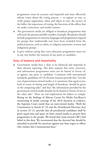programmes must be accurate and impartial and must effectively inform voters about the voting process — to register to vote, to verify proper registration, when and where to vote, the secrecy of the ballot, the importance of voting, the functions of the offices that are under contention, and similar matters.

- The government media are obliged to broadcast programmes that will reach the greatest possible number of people. Broadcasts should include programmes in minority languages and programmes targeted for groups that traditionally may have been excluded from the political process, such as ethnic or religious minorities, women and indigenous groups.
- It goes without saying that voter education programmes must not in any way further the interests of any party or candidate.

#### Duty of balance and impartiality

Government media have a duty to be balanced and impartial in their election reporting. This duty requires that news, interview, and information programmes must not be biased in favour of, or against, any party or candidate. Consistent with international standards, guidelines of UN election missions provide that "[i]n the case of government-owned media, it is customary that equal access, both in terms of timing and length of broadcast, should be given to the competing sides" and that "the information provided by the government-owned media should not be biased in favour of one or the other side". There are real implications for failure to comply. Basing on the findings of African Centre for Media Excellence's monitoring of media coverage of the 2016 elections as evidence, the Supreme Court noted thus on state-owned media: "Both the Constitution in Article 67 (3) and the [Presidential Elections Act] in section 24 (1), provide that all presidential candidates shall be given equal time and space on State owned media to present their programmes to the people. We found that [state-owned UBC] had failed in this duty. We recommend that the electoral law should be amended to provide for sanctions against any State organ or officer who violates this Constitutional duty."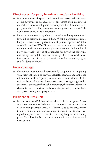#### Direct access for party broadcasts and/or advertising

- In many countries the parties will want direct access to the airwaves of the government broadcaster to put across their manifestos unhindered by awkward questions from journalists. Can the richest party (usually the ruling party) have as many slots as it wants? This would seem entirely anti-democratic.
- Does the station retain any editorial control over these programmes? It would be better to pre-record them. What if a programme is too long or contains unacceptable insult of political opponents? Who edits it? Like with GBC of Ghana, the state broadcaster should claim the right to edit any programme (in consultation with the political party concerned) "if it is objectionable for any of the following reasons: against public order or morality, offends national unity, infringes any law of the land, insensitive to the reputation, rights and freedoms of others".

#### News coverage

● Government media must be particularly scrupulous in complying with their obligation to provide accurate, balanced and impartial information in their reporting of news and current affairs. Of the various forms of election broadcasts, news coverage is generally accepted as the most influential. Accordingly, the duty to inform the electorate and to report with balance and impartiality is particularly strong concerning news programmes.

#### Presidential Press Unit

In many countries PPU journalists deliver sealed envelopes of "news" copy" to newsrooms with the spoken or unspoken instruction not to drop or change a single word. It is, however, up to the news editor to judge its news value and accuracy. It must be made clear that reproducing such material unedited can only happen in the ruling party's Party Election Broadcasts slot and not in the station's normal news output.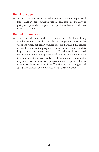#### Running orders

Where a story is placed in a news bulletin will determine its perceived importance. Proper journalistic judgement must be used to prevent giving one party the lead position regardless of balance and news value of the story.

#### Refusal to broadcast

The standards used by the government media in determining whether or not to broadcast an election programme must not be vague or broadly defined. A number of courts have held that refusal to broadcast an election programme pursuant to vague standards is illegal. For instance, Germany's Federal Constitutional Court ruled that while a station manager may refuse to broadcast an election programme that is a "clear" violation of the criminal law, he or she may not refuse to broadcast a programme on the ground that its tone is hostile to the spirit of the Constitution; such a vague and speculative concern does not constitute a "clear" violation.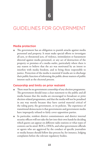# GUIDELINES FOR GOVERNMENT

#### Media protection

The government has an obligation to punish attacks against media personnel and property. It must make special efforts to investigate all acts, or threatened acts, of violence, intimidation or harassment directed against media personnel, or any act of destruction of the property or premises of a media outlet, particularly where there is any reason to believe that the act was motivated by an intent to interfere with media freedom, and to bring those responsible to justice. Protection of the media is essential if media are to discharge their public function of informing the public about matters of public interest such as the electoral process.

#### Censorship and limits on prior restraint

- There must be no government censorship of any election programme. The government should issue a clear statement to the public and all media houses that the media are encouraged to broadcast or print election-related programmes, and that the media will not be penalised in any way merely because they have carried material critical of the ruling party, the government, or its policies. The experience of transitional democracies is that governments and government media have improperly refused to fairly cover opposition parties.
- In particular, resident district commissioners and district internal security officers will not take the law into their own hands by deciding which guests can appear on different radio stations or what types of content can be aired. RDCs, DISOs, and other government officials or agents who are aggrieved by the conduct of specific journalists or media houses should follow due process by, for instance, lodging complaints before the relevant regulatory bodies.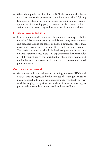● Given the digital campaigns for the 2021 elections and the rise in use of new media, the government should not hide behind fighting fake news or disinformation to restrict the campaign activities of opponents of the ruling party, or censor media. If any restrictive actions must be taken, they will be very specific and non-arbitrary.

#### Limits on media liability

● It is recommended that the media be exempted from legal liability for unlawful statements made by candidates or party representatives and broadcast during the course of election campaigns, other than those which constitute clear and direct incitement to violence. The parties and speakers should be held solely responsible for any unlawful statements they make.This departure from the normal rules of liability is justified by the short duration of campaign periods and the fundamental importance to free and fair elections of unfettered political debate.

#### Courts as a last resort

● Government officials and agents, including ministers, RDCs and DISOs, who are aggrieved by the conduct of certain journalists or media houses should allow the relevant regulatory bodies to do their work by lodging complaints before them, instead of resorting to police and courts of law, or worse still to the use of force.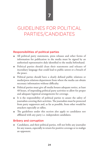# GUIDELINES FOR POLITICAL PARTIES/CANDIDATES

#### Responsibilities of political parties

- All political party statements, press releases and other forms of information for publication in the media must be signed by an authorised representative duly identified to the media beforehand.
- Political parties should clean their statements and releases of incendiary language that could lead to public unrest or a breach of the peace.
- Political parties should have a clearly defined public relations or media/press relations department from where the media can obtain necessary information without difficulty.
- Political parties must give all media houses adequate notice, at least 48 hours, of impending political party activities to allow for proper and adequate logistical arrangements for coverage.
- It is the responsibility of political parties to assure the safety of journalists covering their activities. The journalists must be protected from party supporters and, as far as possible, from other would-be attackers especially at rallies.
- The guidelines under this section also apply to candidates not affiliated with any party i.e. independent candidates.

#### Bribery and corruption

• Candidates, and their political parties, will not bribe any journalist for any reason, especially in return for positive coverage or to malign an opponent.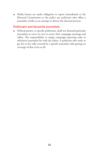● Media houses are under obligation to report immediately to the Electoral Commission or the police any politician who offers a journalist a bribe as an attempt to distort the electoral process.

#### Politicians and favourite journalists

● Political parties, or specific politicians, shall not demand particular journalists to cover (or not to cover) their campaign meetings and rallies. The responsibility to assign campaign-reporting tasks to whichever journalist lies with the editor. A politician who seeks to get his or her rally covered by a specific journalist risks getting no coverage of that event at all.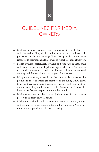### **8**

# GUIDELINES FOR MEDIA OWNERS

- Media owners will demonstrate a commitment to the ideals of free and fair elections. They shall, therefore, develop the capacity of their journalists in election coverage. They shall provide the necessary resources to their journalists for them to report elections effectively.
- Media owners, particularly owners of broadcast outlets, shall endeavour to provide in-depth coverage of elections. An election that produces a result acceptable to all is, after all, good for national stability and that stability in turn is good for business.
- Many radio stations, especially in the countryside, are owned by politicians, most of whom are members of the ruling NRM party. Much as these are private businesses, owners should not mistreat opponents by denying them access to the airwaves. This is especially because the frequency spectrum is a public good.
- Media owners need to clearly identify their journalists as a way to protect them from physical attack.
- Media houses should dedicate time and resources to plan, budget and prepare for an election period, including developing/reviewing their in-house policies on election reporting.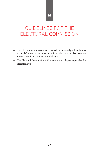# GUIDELINES FOR THE ELECTORAL COMMISSION

- The Electoral Commission will have a clearly defined public relations or media/press relations department from where the media can obtain necessary information without difficulty.
- The Electoral Commission will encourage all players to play by the electoral laws.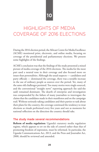# **10**

# HIGHLIGHTS OF MEDIA COVERAGE OF 2016 ELECTIONS

During the 2016 election period, the African Centre for Media Excellence (ACME) monitored print, electronic, and online media, focusing on coverage of the presidential and parliamentary elections. We present some highlights of the findings.

ACME's conclusion was that the findings of the study presented a mixed picture of media coverage of the 2016 elections. The media for the most part used a neutral tone in their coverage and also focused more on issues than personalities. Although the usual suspects — candidates and party officials — dominated the coverage, there was a notable increase in the use of ordinary people as sources over the period. Yet, many of the same old challenges persisted. Too many stories were single-sourced, and the conventional "straight news" reporting approach (he said-she said) remained dominant. The dearth of enterprise and investigation was compounded by the failure of many journalists to interrogate the claims that the candidates made in their manifestos and on the campaign trail. Without seriously taking candidates and their parties to task about their plans for the country, the coverage continued the tendency to treat elections as rituals performed every five years and not as moments for national reflection on the direction the country should take.

#### The study made several recommendations

**Reform of media regulation:** Uganda's statutory media regulation regime, which appears to err on the side of control rather than that of promoting freedom of expression, must be reformed. In particular, the Uganda Communications Act, 2013, and the Press and Journalist Act, 2000, should be reviewed and amended.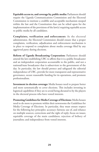**Equitable access to, and coverage by, public media:** Parliament should require the Uganda Communications Commission and the Electoral Commission to institute a credible and acceptable mechanism steeped within the law and the Constitution that can be relied upon for the implementation of the provisions of the law(s) requiring equitable access to public media by all candidates.

**Complaints, verification and enforcement:** As the electoral administrator, the Electoral Commission should ensure that a proper complaints, verification, adjudication and enforcement mechanism is in place to respond to complaints about media coverage filed by any aggrieved party during elections.

**Reform of Uganda Broadcasting Corporation:** Parliament should amend the law establishing UBC to affirm that it is a public broadcaster and an independent corporation accountable to the public, and not a national/state broadcaster that is subservient to the government of the day. In particular, the law should protect and safeguard the editorial independence of UBC, provide for more transparent and representative governance, secure reasonable funding for its operations, and promote professionalism.

**Investment in election coverage:** Media houses need to prepare better and more systematically to cover elections. This includes investing in logistical capabilities if they are to avoid being dictated to by the players in the electoral process who have vested interests.

**Promoting Guidelines for Media Coverage of Elections:** Media houses need to do more to promote within their newsrooms the Guidelines for Media Coverage of Elections. In particular, they must ensure respect for the following key principles: accuracy; fairness; use of, and reliance on multiple sources; corrections and the right of reply; focus on issues; equitable coverage of the main candidates; rejection of bribery of journalists; and independence from vested interests.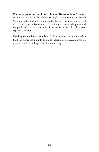**Educating police and public on role of media in elections:** Statutory authorities such as the Uganda Human Rights Commission, the Uganda Communications Commission, and the Electoral Commission as well as civil society organisations need to do more to educate the police and the public on the important role of the media in the political process, especially elections.

**Holding the media accountable:** Civil society and the public need to hold the media accountable during the electioneering season based on evidence such as findings of media monitoring reports.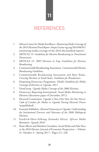# REFERENCES

- 1. African Centre for Media Excellence. *Monitoring Media Coverage of the 2016 Elections/Final Report <*https://acme-ug.org/2016/06/01/ monitoring-media-coverage-of-the-2016-electionsfinal-report/>
- 2. ARTICLE 19. *Guidelines for Election Broadcasting in Transitional Democracies*.
- 3. ARTICLE 19. *2005 Elections in Iraq: Guidelines for Election Broadcasting.*
- 4. Commonwealth Broadcasting Association. *Commonwealth Election Broadcasting Guidelines.*
- 5. Commonwealth Broadcasting Association and Mary Raine. *Covering Elections in Small States: Guidelines for Broadcasters.*
- 6. Deepening Democracy Programme. (Draft) *Guidelines for Media Coverage of Elections in Uganda, 2011.*
- 7. DemGroup*. Uganda Media Coverage of the 2006 Elections.*
- 8. Democracy Reporting International. *Social Media Monitoring in Elections* (discussion paper of December 2017).
- 9. Electoral Commission. *Uganda is Ours (Our Votes Are Our Voices): Code of Conduct for Media in Uganda During Electoral Process* (unpublished).
- 10. Fountain Publishers. *Electoral Democracy in Uganda: Understanding the Institutional Processes and Outcomes of the 2006 Multiparty Elections.*
- 11. Friedrich-Ebert-Stiftung (fesmedia Africa). *African Media Barometer: Uganda 2010*.
- 12. Hunt Allcott and Matthew Gentzkow. *Social Media and Fake News in the 2016 Election*. Journal of Economic Perspectives —Volume 31, Number 2—Spring 2017—Pages 211–236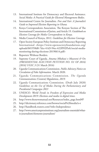- 13. International Institute for Democracy and Electoral Assistance. *Social Media: A Practical Guide for Electoral Management Bodies.*
- 14. International Centre for Journalists. *Free and Fair: A Journalist's Guide to Improved Election Reporting in Ghana.*
- 15. Kenya Correspondents Association, The Kenyan Section of The International Commission of Jurists, and Article 19. *Guidebook on Election Coverage for Media Correspondents in Kenya.*
- 16. Media Council of Kenya, 2012. *Guidelines for Election Coverage.*
- 17. Open Society European Policy Institute and Democracy Reporting International <https://www.opensocietyfoundations.org/ uploads/b01958d0-7dce-41d3-94ec-622f992f5efc/social-mediamonitoring-during-elections-20190614.pdf>
- 18. Reporters Without Borders.
- 19. Supreme Court of Uganda. *Amama Mbabazi v Museveni & Ors (PRESIDENTIAL ELECTION PETITION NO. O1 OF 2016) [2016] UGSC 3* (31 March 2016)
- 20. Uganda Communications Commission. *Public Advisory Notice on Circulation of Fake Information.* March 2020.
- 21. Uganda Communications Commission. *The Uganda Communications (Content) Regulations, 2019.*
- 22. Uganda Communications Commission. (Draft July 2020) *Guidelines on the Use of Media During the Parliamentary and Presidential Campaigns 2021*
- 23. UNESCO. *World Trends in Freedom of Expression and Media Development 2019: Elections and media in digital times.*
- 24. http://www.thenewsmanual.net/Resources/index\_page.html#P
- 25. http://dictionary.reference.com/browse/social%20media?s=t
- 26. http://handbook.reuters.com/?title=Independence
- 27. http://www.americanpressinstitute.org/journalism-essentials/whatis-journalism/elements-journalism/